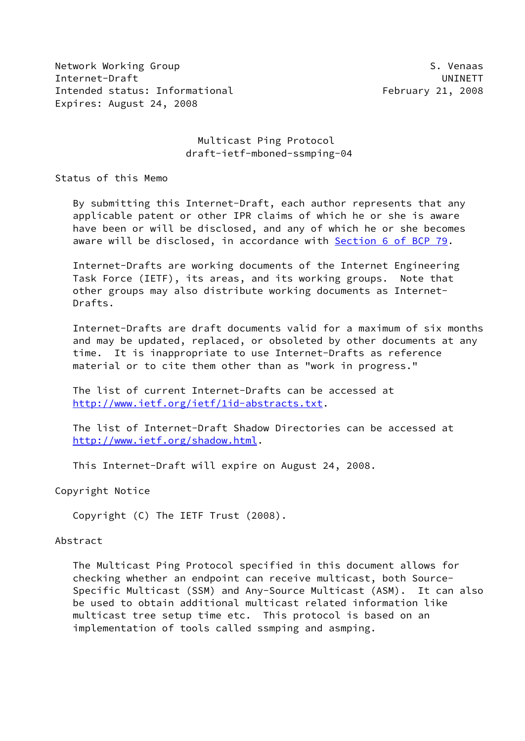Network Working Group S. Venaas Internet-Draft UNINETT Intended status: Informational February 21, 2008 Expires: August 24, 2008

# Multicast Ping Protocol draft-ietf-mboned-ssmping-04

Status of this Memo

 By submitting this Internet-Draft, each author represents that any applicable patent or other IPR claims of which he or she is aware have been or will be disclosed, and any of which he or she becomes aware will be disclosed, in accordance with Section [6 of BCP 79.](https://datatracker.ietf.org/doc/pdf/bcp79#section-6)

 Internet-Drafts are working documents of the Internet Engineering Task Force (IETF), its areas, and its working groups. Note that other groups may also distribute working documents as Internet- Drafts.

 Internet-Drafts are draft documents valid for a maximum of six months and may be updated, replaced, or obsoleted by other documents at any time. It is inappropriate to use Internet-Drafts as reference material or to cite them other than as "work in progress."

 The list of current Internet-Drafts can be accessed at <http://www.ietf.org/ietf/1id-abstracts.txt>.

 The list of Internet-Draft Shadow Directories can be accessed at <http://www.ietf.org/shadow.html>.

This Internet-Draft will expire on August 24, 2008.

Copyright Notice

Copyright (C) The IETF Trust (2008).

#### Abstract

 The Multicast Ping Protocol specified in this document allows for checking whether an endpoint can receive multicast, both Source- Specific Multicast (SSM) and Any-Source Multicast (ASM). It can also be used to obtain additional multicast related information like multicast tree setup time etc. This protocol is based on an implementation of tools called ssmping and asmping.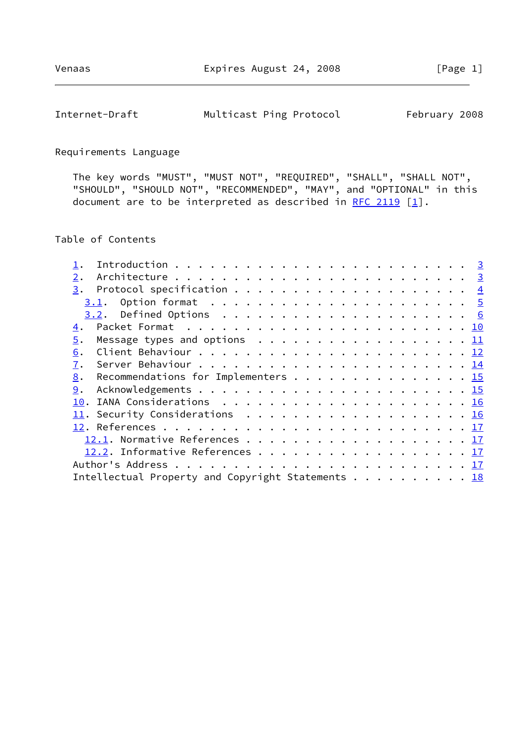# Internet-Draft Multicast Ping Protocol February 2008

# Requirements Language

 The key words "MUST", "MUST NOT", "REQUIRED", "SHALL", "SHALL NOT", "SHOULD", "SHOULD NOT", "RECOMMENDED", "MAY", and "OPTIONAL" in this document are to be interpreted as described in [RFC 2119](https://datatracker.ietf.org/doc/pdf/rfc2119)  $[1]$  $[1]$ .

## Table of Contents

| 2.                                                |  |
|---------------------------------------------------|--|
|                                                   |  |
| 3.1.                                              |  |
|                                                   |  |
| $\overline{4}$ .                                  |  |
| Message types and options $\ldots$ 11<br>5.       |  |
| 6.                                                |  |
| 7.                                                |  |
| 8.<br>Recommendations for Implementers $\dots$ 15 |  |
| 9.                                                |  |
|                                                   |  |
| 11. Security Considerations 16                    |  |
|                                                   |  |
|                                                   |  |
| 12.2. Informative References 17                   |  |
|                                                   |  |
| Intellectual Property and Copyright Statements 18 |  |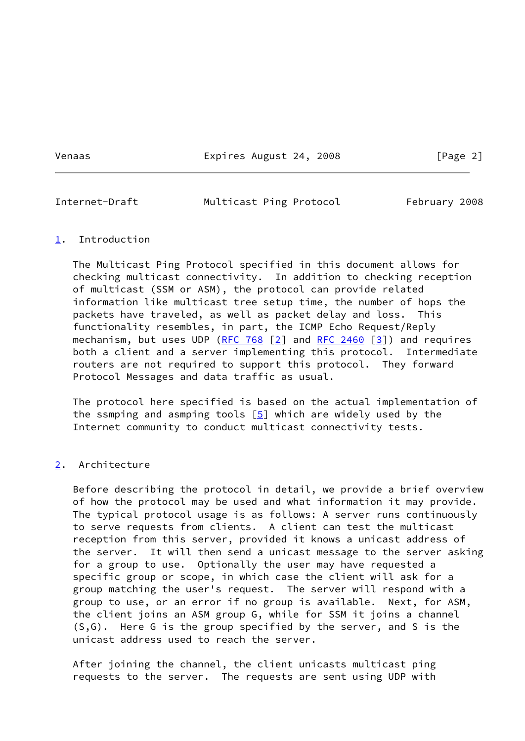Venaas Expires August 24, 2008 [Page 2]

<span id="page-2-1"></span>

Internet-Draft Multicast Ping Protocol February 2008

# <span id="page-2-0"></span>[1](#page-2-0). Introduction

 The Multicast Ping Protocol specified in this document allows for checking multicast connectivity. In addition to checking reception of multicast (SSM or ASM), the protocol can provide related information like multicast tree setup time, the number of hops the packets have traveled, as well as packet delay and loss. This functionality resembles, in part, the ICMP Echo Request/Reply mechanism, but uses UDP [\(RFC 768](https://datatracker.ietf.org/doc/pdf/rfc768)  $[2]$  and [RFC 2460](https://datatracker.ietf.org/doc/pdf/rfc2460)  $[3]$  $[3]$ ) and requires both a client and a server implementing this protocol. Intermediate routers are not required to support this protocol. They forward Protocol Messages and data traffic as usual.

 The protocol here specified is based on the actual implementation of the ssmping and asmping tools  $[5]$  $[5]$  which are widely used by the Internet community to conduct multicast connectivity tests.

# <span id="page-2-2"></span>[2](#page-2-2). Architecture

 Before describing the protocol in detail, we provide a brief overview of how the protocol may be used and what information it may provide. The typical protocol usage is as follows: A server runs continuously to serve requests from clients. A client can test the multicast reception from this server, provided it knows a unicast address of the server. It will then send a unicast message to the server asking for a group to use. Optionally the user may have requested a specific group or scope, in which case the client will ask for a group matching the user's request. The server will respond with a group to use, or an error if no group is available. Next, for ASM, the client joins an ASM group G, while for SSM it joins a channel (S,G). Here G is the group specified by the server, and S is the unicast address used to reach the server.

 After joining the channel, the client unicasts multicast ping requests to the server. The requests are sent using UDP with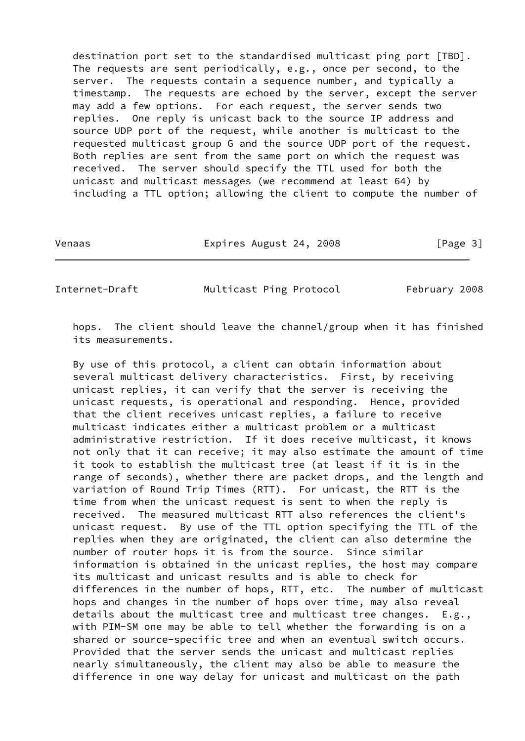destination port set to the standardised multicast ping port [TBD]. The requests are sent periodically, e.g., once per second, to the server. The requests contain a sequence number, and typically a timestamp. The requests are echoed by the server, except the server may add a few options. For each request, the server sends two replies. One reply is unicast back to the source IP address and source UDP port of the request, while another is multicast to the requested multicast group G and the source UDP port of the request. Both replies are sent from the same port on which the request was received. The server should specify the TTL used for both the unicast and multicast messages (we recommend at least 64) by including a TTL option; allowing the client to compute the number of

Venaas **Expires August 24, 2008** [Page 3]

<span id="page-3-0"></span>Internet-Draft Multicast Ping Protocol February 2008

 hops. The client should leave the channel/group when it has finished its measurements.

 By use of this protocol, a client can obtain information about several multicast delivery characteristics. First, by receiving unicast replies, it can verify that the server is receiving the unicast requests, is operational and responding. Hence, provided that the client receives unicast replies, a failure to receive multicast indicates either a multicast problem or a multicast administrative restriction. If it does receive multicast, it knows not only that it can receive; it may also estimate the amount of time it took to establish the multicast tree (at least if it is in the range of seconds), whether there are packet drops, and the length and variation of Round Trip Times (RTT). For unicast, the RTT is the time from when the unicast request is sent to when the reply is received. The measured multicast RTT also references the client's unicast request. By use of the TTL option specifying the TTL of the replies when they are originated, the client can also determine the number of router hops it is from the source. Since similar information is obtained in the unicast replies, the host may compare its multicast and unicast results and is able to check for differences in the number of hops, RTT, etc. The number of multicast hops and changes in the number of hops over time, may also reveal details about the multicast tree and multicast tree changes. E.g., with PIM-SM one may be able to tell whether the forwarding is on a shared or source-specific tree and when an eventual switch occurs. Provided that the server sends the unicast and multicast replies nearly simultaneously, the client may also be able to measure the difference in one way delay for unicast and multicast on the path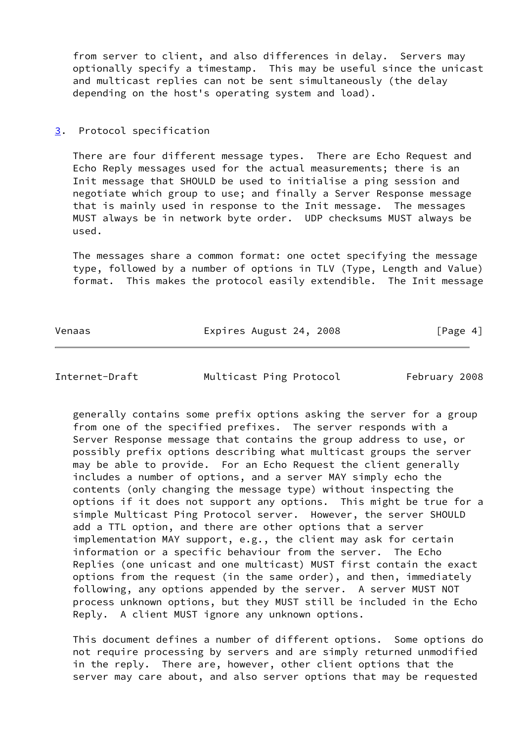from server to client, and also differences in delay. Servers may optionally specify a timestamp. This may be useful since the unicast and multicast replies can not be sent simultaneously (the delay depending on the host's operating system and load).

## <span id="page-4-0"></span>[3](#page-4-0). Protocol specification

 There are four different message types. There are Echo Request and Echo Reply messages used for the actual measurements; there is an Init message that SHOULD be used to initialise a ping session and negotiate which group to use; and finally a Server Response message that is mainly used in response to the Init message. The messages MUST always be in network byte order. UDP checksums MUST always be used.

 The messages share a common format: one octet specifying the message type, followed by a number of options in TLV (Type, Length and Value) format. This makes the protocol easily extendible. The Init message

Venaas **Expires August 24, 2008** [Page 4]

<span id="page-4-1"></span>Internet-Draft Multicast Ping Protocol February 2008

 generally contains some prefix options asking the server for a group from one of the specified prefixes. The server responds with a Server Response message that contains the group address to use, or possibly prefix options describing what multicast groups the server may be able to provide. For an Echo Request the client generally includes a number of options, and a server MAY simply echo the contents (only changing the message type) without inspecting the options if it does not support any options. This might be true for a simple Multicast Ping Protocol server. However, the server SHOULD add a TTL option, and there are other options that a server implementation MAY support, e.g., the client may ask for certain information or a specific behaviour from the server. The Echo Replies (one unicast and one multicast) MUST first contain the exact options from the request (in the same order), and then, immediately following, any options appended by the server. A server MUST NOT process unknown options, but they MUST still be included in the Echo Reply. A client MUST ignore any unknown options.

 This document defines a number of different options. Some options do not require processing by servers and are simply returned unmodified in the reply. There are, however, other client options that the server may care about, and also server options that may be requested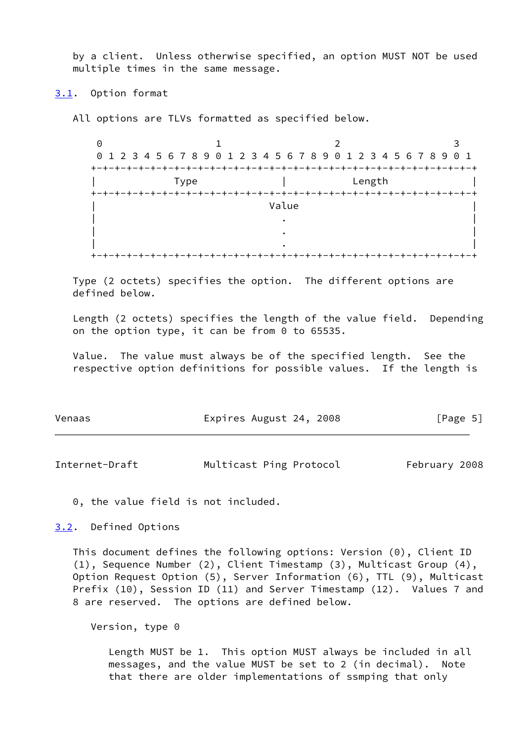by a client. Unless otherwise specified, an option MUST NOT be used multiple times in the same message.

## <span id="page-5-0"></span>[3.1](#page-5-0). Option format

All options are TLVs formatted as specified below.

| Θ         |                                                                 |       |        |  |
|-----------|-----------------------------------------------------------------|-------|--------|--|
|           | 0 1 2 3 4 5 6 7 8 9 0 1 2 3 4 5 6 7 8 9 0 1 2 3 4 5 6 7 8 9 0 1 |       |        |  |
| $+ - +$   |                                                                 |       |        |  |
|           | Type                                                            |       | Length |  |
| $+ \cdot$ |                                                                 |       |        |  |
|           |                                                                 | Value |        |  |
|           |                                                                 |       |        |  |
|           |                                                                 |       |        |  |
|           |                                                                 |       |        |  |
|           |                                                                 |       |        |  |

 Type (2 octets) specifies the option. The different options are defined below.

 Length (2 octets) specifies the length of the value field. Depending on the option type, it can be from 0 to 65535.

 Value. The value must always be of the specified length. See the respective option definitions for possible values. If the length is

| Venaas | Expires August 24, 2008 | [Page 5] |
|--------|-------------------------|----------|
|        |                         |          |

<span id="page-5-2"></span>Internet-Draft Multicast Ping Protocol February 2008

0, the value field is not included.

<span id="page-5-1"></span>[3.2](#page-5-1). Defined Options

 This document defines the following options: Version (0), Client ID (1), Sequence Number (2), Client Timestamp (3), Multicast Group (4), Option Request Option (5), Server Information (6), TTL (9), Multicast Prefix (10), Session ID (11) and Server Timestamp (12). Values 7 and 8 are reserved. The options are defined below.

Version, type 0

 Length MUST be 1. This option MUST always be included in all messages, and the value MUST be set to 2 (in decimal). Note that there are older implementations of ssmping that only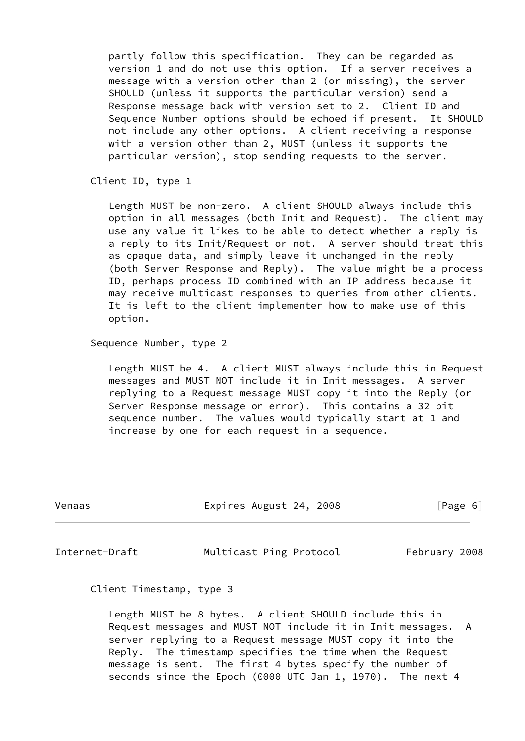partly follow this specification. They can be regarded as version 1 and do not use this option. If a server receives a message with a version other than 2 (or missing), the server SHOULD (unless it supports the particular version) send a Response message back with version set to 2. Client ID and Sequence Number options should be echoed if present. It SHOULD not include any other options. A client receiving a response with a version other than 2, MUST (unless it supports the particular version), stop sending requests to the server.

Client ID, type 1

 Length MUST be non-zero. A client SHOULD always include this option in all messages (both Init and Request). The client may use any value it likes to be able to detect whether a reply is a reply to its Init/Request or not. A server should treat this as opaque data, and simply leave it unchanged in the reply (both Server Response and Reply). The value might be a process ID, perhaps process ID combined with an IP address because it may receive multicast responses to queries from other clients. It is left to the client implementer how to make use of this option.

Sequence Number, type 2

 Length MUST be 4. A client MUST always include this in Request messages and MUST NOT include it in Init messages. A server replying to a Request message MUST copy it into the Reply (or Server Response message on error). This contains a 32 bit sequence number. The values would typically start at 1 and increase by one for each request in a sequence.

| Venaas | Expires August 24, 2008 | [Page 6] |
|--------|-------------------------|----------|
|        |                         |          |

Internet-Draft Multicast Ping Protocol February 2008

Client Timestamp, type 3

 Length MUST be 8 bytes. A client SHOULD include this in Request messages and MUST NOT include it in Init messages. A server replying to a Request message MUST copy it into the Reply. The timestamp specifies the time when the Request message is sent. The first 4 bytes specify the number of seconds since the Epoch (0000 UTC Jan 1, 1970). The next 4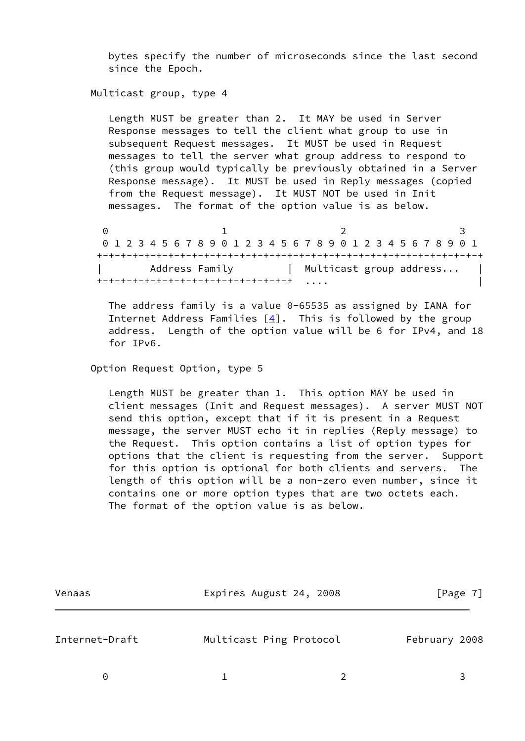bytes specify the number of microseconds since the last second since the Epoch.

Multicast group, type 4

 Length MUST be greater than 2. It MAY be used in Server Response messages to tell the client what group to use in subsequent Request messages. It MUST be used in Request messages to tell the server what group address to respond to (this group would typically be previously obtained in a Server Response message). It MUST be used in Reply messages (copied from the Request message). It MUST NOT be used in Init messages. The format of the option value is as below.

 $0$  1 2 3 0 1 2 3 4 5 6 7 8 9 0 1 2 3 4 5 6 7 8 9 0 1 2 3 4 5 6 7 8 9 0 1 +-+-+-+-+-+-+-+-+-+-+-+-+-+-+-+-+-+-+-+-+-+-+-+-+-+-+-+-+-+-+-+-+ Address Family | Multicast group address... | +-+-+-+-+-+-+-+-+-+-+-+-+-+-+-+-+ .... |

> The address family is a value 0-65535 as assigned by IANA for Internet Address Families  $[4]$  $[4]$ . This is followed by the group address. Length of the option value will be 6 for IPv4, and 18 for IPv6.

Option Request Option, type 5

 Length MUST be greater than 1. This option MAY be used in client messages (Init and Request messages). A server MUST NOT send this option, except that if it is present in a Request message, the server MUST echo it in replies (Reply message) to the Request. This option contains a list of option types for options that the client is requesting from the server. Support for this option is optional for both clients and servers. The length of this option will be a non-zero even number, since it contains one or more option types that are two octets each. The format of the option value is as below.

| Venaas         | Expires August 24, 2008 |               | [Page 7] |
|----------------|-------------------------|---------------|----------|
| Internet-Draft | Multicast Ping Protocol | February 2008 |          |
| $\Theta$       |                         |               |          |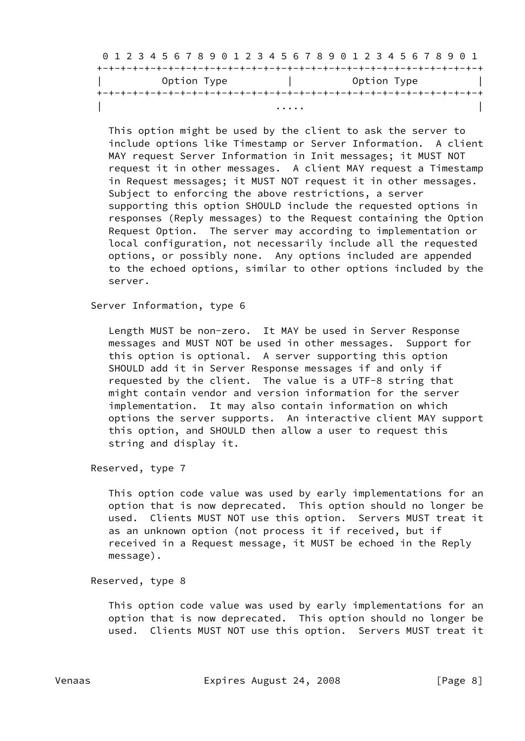|             |   | 0 1 2 3 4 5 6 7 8 9 0 1 2 3 4 5 6 7 8 9 0 1 2 3 4 5 6 7 8 9 0 1 |  |
|-------------|---|-----------------------------------------------------------------|--|
|             |   |                                                                 |  |
| Option Type |   | Option Type                                                     |  |
|             |   |                                                                 |  |
|             | . |                                                                 |  |

 This option might be used by the client to ask the server to include options like Timestamp or Server Information. A client MAY request Server Information in Init messages; it MUST NOT request it in other messages. A client MAY request a Timestamp in Request messages; it MUST NOT request it in other messages. Subject to enforcing the above restrictions, a server supporting this option SHOULD include the requested options in responses (Reply messages) to the Request containing the Option Request Option. The server may according to implementation or local configuration, not necessarily include all the requested options, or possibly none. Any options included are appended to the echoed options, similar to other options included by the server.

Server Information, type 6

 Length MUST be non-zero. It MAY be used in Server Response messages and MUST NOT be used in other messages. Support for this option is optional. A server supporting this option SHOULD add it in Server Response messages if and only if requested by the client. The value is a UTF-8 string that might contain vendor and version information for the server implementation. It may also contain information on which options the server supports. An interactive client MAY support this option, and SHOULD then allow a user to request this string and display it.

Reserved, type 7

 This option code value was used by early implementations for an option that is now deprecated. This option should no longer be used. Clients MUST NOT use this option. Servers MUST treat it as an unknown option (not process it if received, but if received in a Request message, it MUST be echoed in the Reply message).

Reserved, type 8

 This option code value was used by early implementations for an option that is now deprecated. This option should no longer be used. Clients MUST NOT use this option. Servers MUST treat it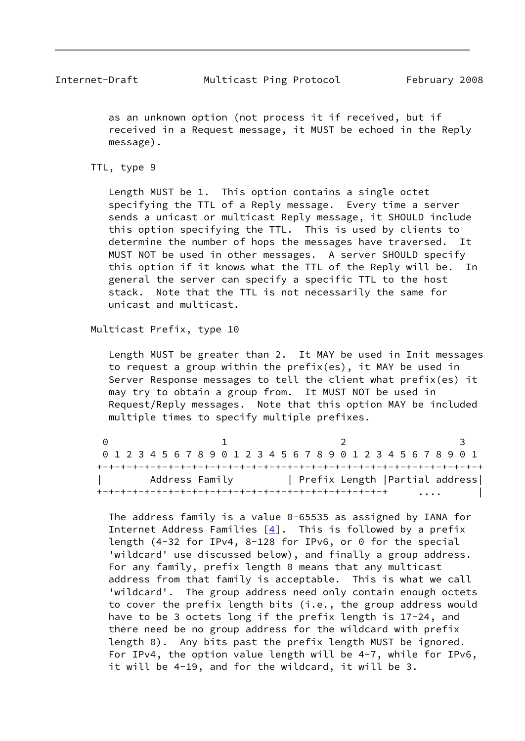as an unknown option (not process it if received, but if received in a Request message, it MUST be echoed in the Reply message).

#### TTL, type 9

 Length MUST be 1. This option contains a single octet specifying the TTL of a Reply message. Every time a server sends a unicast or multicast Reply message, it SHOULD include this option specifying the TTL. This is used by clients to determine the number of hops the messages have traversed. It MUST NOT be used in other messages. A server SHOULD specify this option if it knows what the TTL of the Reply will be. In general the server can specify a specific TTL to the host stack. Note that the TTL is not necessarily the same for unicast and multicast.

Multicast Prefix, type 10

 Length MUST be greater than 2. It MAY be used in Init messages to request a group within the prefix(es), it MAY be used in Server Response messages to tell the client what prefix(es) it may try to obtain a group from. It MUST NOT be used in Request/Reply messages. Note that this option MAY be included multiple times to specify multiple prefixes.

| 0 1 2 3 4 5 6 7 8 9 0 1 2 3 4 5 6 7 8 9 0 1 2 3 4 5 6 7 8 9 0 1 |                                 |          |
|-----------------------------------------------------------------|---------------------------------|----------|
|                                                                 |                                 |          |
| Address Family                                                  | Prefix Length   Partial address |          |
|                                                                 |                                 | $\cdots$ |

 The address family is a value 0-65535 as assigned by IANA for Internet Address Families  $[4]$  $[4]$ . This is followed by a prefix length (4-32 for IPv4, 8-128 for IPv6, or 0 for the special 'wildcard' use discussed below), and finally a group address. For any family, prefix length 0 means that any multicast address from that family is acceptable. This is what we call 'wildcard'. The group address need only contain enough octets to cover the prefix length bits (i.e., the group address would have to be 3 octets long if the prefix length is 17-24, and there need be no group address for the wildcard with prefix length 0). Any bits past the prefix length MUST be ignored. For IPv4, the option value length will be 4-7, while for IPv6, it will be 4-19, and for the wildcard, it will be 3.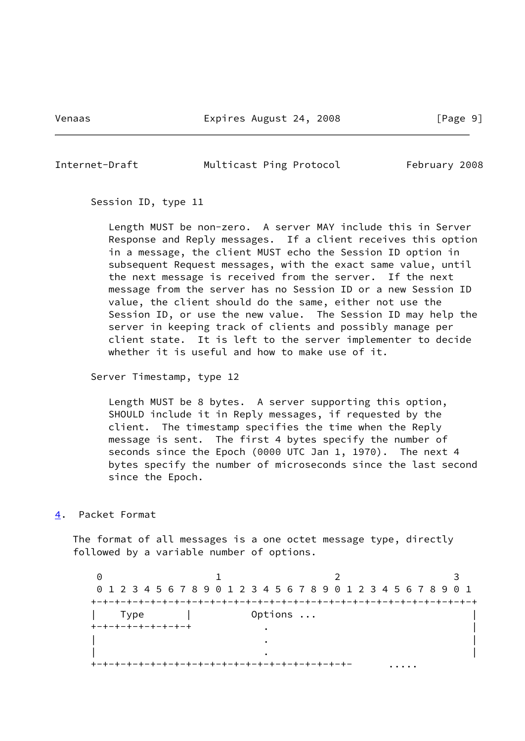Venaas Expires August 24, 2008 [Page 9]

<span id="page-10-1"></span>Internet-Draft Multicast Ping Protocol February 2008

Session ID, type 11

 Length MUST be non-zero. A server MAY include this in Server Response and Reply messages. If a client receives this option in a message, the client MUST echo the Session ID option in subsequent Request messages, with the exact same value, until the next message is received from the server. If the next message from the server has no Session ID or a new Session ID value, the client should do the same, either not use the Session ID, or use the new value. The Session ID may help the server in keeping track of clients and possibly manage per client state. It is left to the server implementer to decide whether it is useful and how to make use of it.

Server Timestamp, type 12

 Length MUST be 8 bytes. A server supporting this option, SHOULD include it in Reply messages, if requested by the client. The timestamp specifies the time when the Reply message is sent. The first 4 bytes specify the number of seconds since the Epoch (0000 UTC Jan 1, 1970). The next 4 bytes specify the number of microseconds since the last second since the Epoch.

<span id="page-10-0"></span>[4](#page-10-0). Packet Format

 The format of all messages is a one octet message type, directly followed by a variable number of options.

0 1 2 3 0 1 2 3 4 5 6 7 8 9 0 1 2 3 4 5 6 7 8 9 0 1 2 3 4 5 6 7 8 9 0 1 +-+-+-+-+-+-+-+-+-+-+-+-+-+-+-+-+-+-+-+-+-+-+-+-+-+-+-+-+-+-+-+-+ Type | Options ... +-+-+-+-+-+-+-+-+ . | | . | | . | +-+-+-+-+-+-+-+-+-+-+-+-+-+-+-+-+-+-+-+-+-+- .....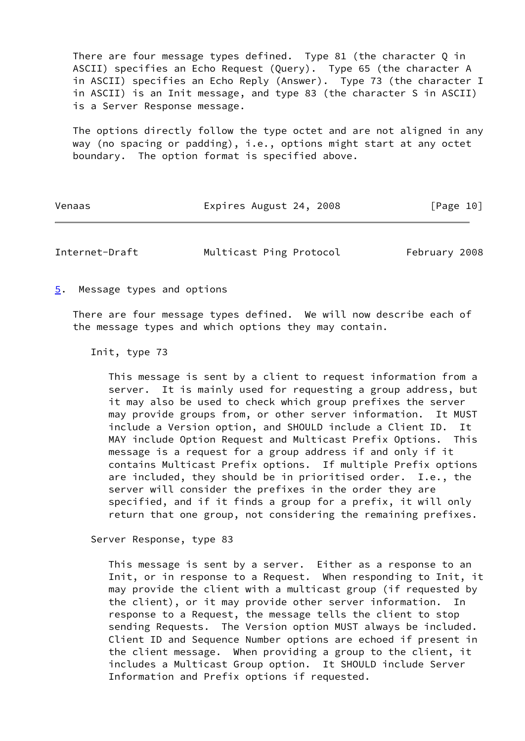There are four message types defined. Type 81 (the character Q in ASCII) specifies an Echo Request (Query). Type 65 (the character A in ASCII) specifies an Echo Reply (Answer). Type 73 (the character I in ASCII) is an Init message, and type 83 (the character S in ASCII) is a Server Response message.

 The options directly follow the type octet and are not aligned in any way (no spacing or padding), i.e., options might start at any octet boundary. The option format is specified above.

| Venaas | Expires August 24, 2008 |  |  |  | [Page 10] |  |
|--------|-------------------------|--|--|--|-----------|--|
|--------|-------------------------|--|--|--|-----------|--|

<span id="page-11-1"></span>Internet-Draft Multicast Ping Protocol February 2008

<span id="page-11-0"></span>[5](#page-11-0). Message types and options

 There are four message types defined. We will now describe each of the message types and which options they may contain.

Init, type 73

 This message is sent by a client to request information from a server. It is mainly used for requesting a group address, but it may also be used to check which group prefixes the server may provide groups from, or other server information. It MUST include a Version option, and SHOULD include a Client ID. It MAY include Option Request and Multicast Prefix Options. This message is a request for a group address if and only if it contains Multicast Prefix options. If multiple Prefix options are included, they should be in prioritised order. I.e., the server will consider the prefixes in the order they are specified, and if it finds a group for a prefix, it will only return that one group, not considering the remaining prefixes.

Server Response, type 83

 This message is sent by a server. Either as a response to an Init, or in response to a Request. When responding to Init, it may provide the client with a multicast group (if requested by the client), or it may provide other server information. In response to a Request, the message tells the client to stop sending Requests. The Version option MUST always be included. Client ID and Sequence Number options are echoed if present in the client message. When providing a group to the client, it includes a Multicast Group option. It SHOULD include Server Information and Prefix options if requested.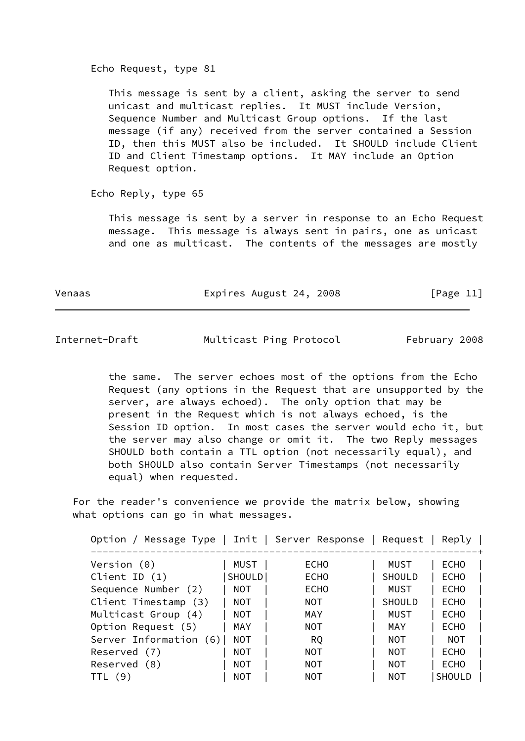#### Echo Request, type 81

 This message is sent by a client, asking the server to send unicast and multicast replies. It MUST include Version, Sequence Number and Multicast Group options. If the last message (if any) received from the server contained a Session ID, then this MUST also be included. It SHOULD include Client ID and Client Timestamp options. It MAY include an Option Request option.

Echo Reply, type 65

 This message is sent by a server in response to an Echo Request message. This message is always sent in pairs, one as unicast and one as multicast. The contents of the messages are mostly

| Venaas | Expires August 24, 2008 | [Page 11] |
|--------|-------------------------|-----------|
|        |                         |           |

<span id="page-12-0"></span>Internet-Draft Multicast Ping Protocol February 2008

 the same. The server echoes most of the options from the Echo Request (any options in the Request that are unsupported by the server, are always echoed). The only option that may be present in the Request which is not always echoed, is the Session ID option. In most cases the server would echo it, but the server may also change or omit it. The two Reply messages SHOULD both contain a TTL option (not necessarily equal), and both SHOULD also contain Server Timestamps (not necessarily equal) when requested.

 For the reader's convenience we provide the matrix below, showing what options can go in what messages.

| Option / Message Type   Init   Server Response   Request |            |             |               | Reply         |
|----------------------------------------------------------|------------|-------------|---------------|---------------|
| Version $(0)$                                            | MUST       | <b>ECHO</b> | MUST          | <b>ECHO</b>   |
| Client ID $(1)$                                          | SHOULD     | <b>ECHO</b> | SHOULD        | <b>ECHO</b>   |
| Sequence Number (2)                                      | NOT        | <b>ECHO</b> | MUST          | <b>ECHO</b>   |
| Client Timestamp (3)                                     | NOT        | NOT.        | <b>SHOULD</b> | <b>ECHO</b>   |
| Multicast Group (4)                                      | NOT        | MAY         | MUST          | <b>ECHO</b>   |
| Option Request (5)                                       | MAY        | NOT         | MAY           | <b>ECHO</b>   |
| Server Information (6)                                   | <b>NOT</b> | <b>RQ</b>   | NOT           | NOT           |
| Reserved (7)                                             | NOT        | <b>NOT</b>  | NOT           | <b>ECHO</b>   |
| Reserved (8)                                             | NOT        | NOT         | NOT           | <b>ECHO</b>   |
| (9)<br>TTL.                                              | NOT        | NOT         | NOT           | <b>SHOULD</b> |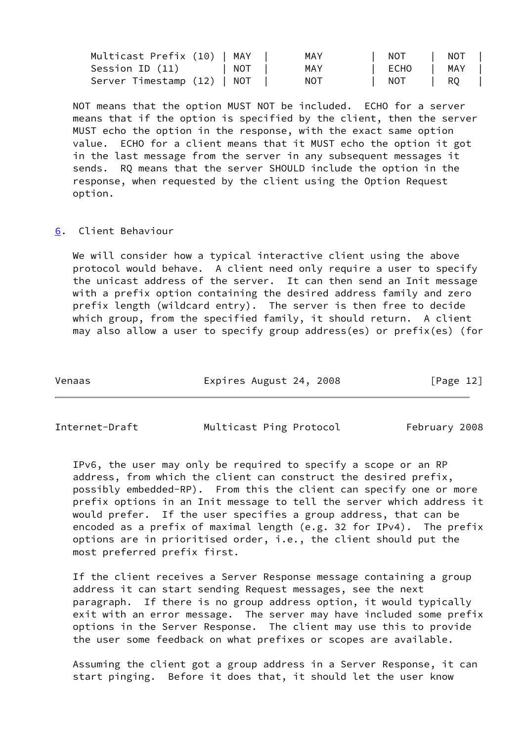| Multicast Prefix (10)   MAY | MAY | NOT  | NOT  |
|-----------------------------|-----|------|------|
| Session ID (11)   NOT       | MAY | ECHO | MAY  |
| Server Timestamp (12)   NOT | NOT | NOT  | I RO |

 NOT means that the option MUST NOT be included. ECHO for a server means that if the option is specified by the client, then the server MUST echo the option in the response, with the exact same option value. ECHO for a client means that it MUST echo the option it got in the last message from the server in any subsequent messages it sends. RQ means that the server SHOULD include the option in the response, when requested by the client using the Option Request option.

## <span id="page-13-0"></span>[6](#page-13-0). Client Behaviour

We will consider how a typical interactive client using the above protocol would behave. A client need only require a user to specify the unicast address of the server. It can then send an Init message with a prefix option containing the desired address family and zero prefix length (wildcard entry). The server is then free to decide which group, from the specified family, it should return. A client may also allow a user to specify group address(es) or prefix(es) (for

| Expires August 24, 2008<br>Venaas |  |  | [Page 12] |
|-----------------------------------|--|--|-----------|
|-----------------------------------|--|--|-----------|

Internet-Draft Multicast Ping Protocol February 2008

 IPv6, the user may only be required to specify a scope or an RP address, from which the client can construct the desired prefix, possibly embedded-RP). From this the client can specify one or more prefix options in an Init message to tell the server which address it would prefer. If the user specifies a group address, that can be encoded as a prefix of maximal length (e.g. 32 for IPv4). The prefix options are in prioritised order, i.e., the client should put the most preferred prefix first.

 If the client receives a Server Response message containing a group address it can start sending Request messages, see the next paragraph. If there is no group address option, it would typically exit with an error message. The server may have included some prefix options in the Server Response. The client may use this to provide the user some feedback on what prefixes or scopes are available.

 Assuming the client got a group address in a Server Response, it can start pinging. Before it does that, it should let the user know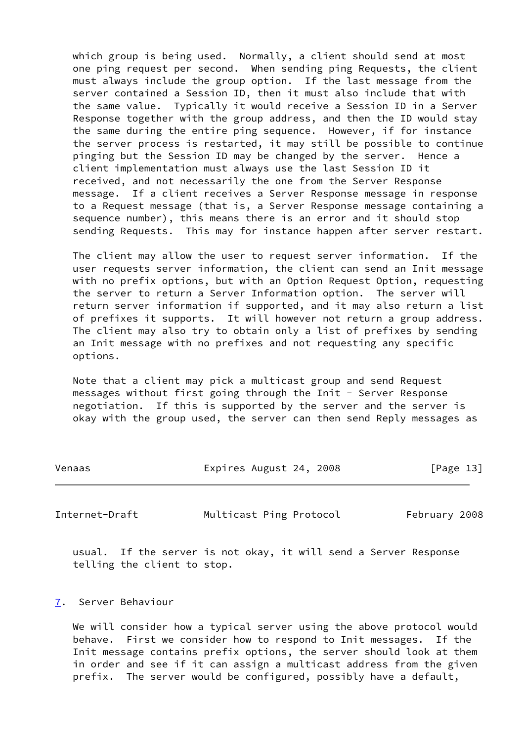which group is being used. Normally, a client should send at most one ping request per second. When sending ping Requests, the client must always include the group option. If the last message from the server contained a Session ID, then it must also include that with the same value. Typically it would receive a Session ID in a Server Response together with the group address, and then the ID would stay the same during the entire ping sequence. However, if for instance the server process is restarted, it may still be possible to continue pinging but the Session ID may be changed by the server. Hence a client implementation must always use the last Session ID it received, and not necessarily the one from the Server Response message. If a client receives a Server Response message in response to a Request message (that is, a Server Response message containing a sequence number), this means there is an error and it should stop sending Requests. This may for instance happen after server restart.

 The client may allow the user to request server information. If the user requests server information, the client can send an Init message with no prefix options, but with an Option Request Option, requesting the server to return a Server Information option. The server will return server information if supported, and it may also return a list of prefixes it supports. It will however not return a group address. The client may also try to obtain only a list of prefixes by sending an Init message with no prefixes and not requesting any specific options.

 Note that a client may pick a multicast group and send Request messages without first going through the Init - Server Response negotiation. If this is supported by the server and the server is okay with the group used, the server can then send Reply messages as

| Venaas | Expires August 24, 2008 | [Page 13] |
|--------|-------------------------|-----------|
|        |                         |           |

<span id="page-14-1"></span>Internet-Draft Multicast Ping Protocol February 2008

 usual. If the server is not okay, it will send a Server Response telling the client to stop.

#### <span id="page-14-0"></span>[7](#page-14-0). Server Behaviour

We will consider how a typical server using the above protocol would behave. First we consider how to respond to Init messages. If the Init message contains prefix options, the server should look at them in order and see if it can assign a multicast address from the given prefix. The server would be configured, possibly have a default,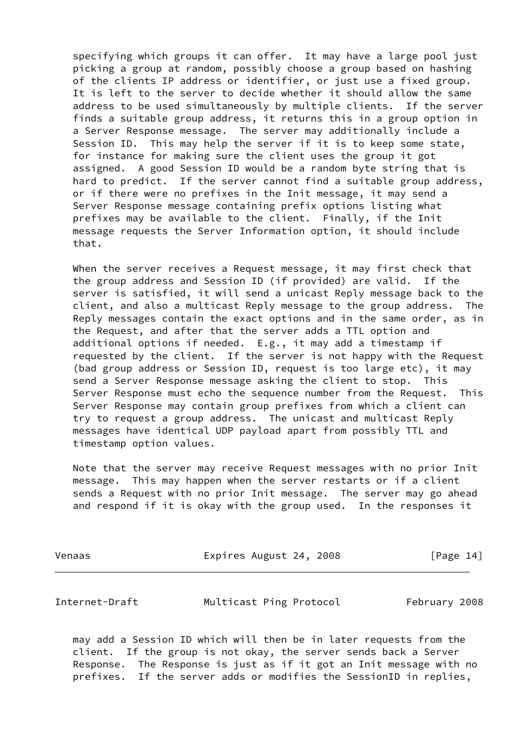specifying which groups it can offer. It may have a large pool just picking a group at random, possibly choose a group based on hashing of the clients IP address or identifier, or just use a fixed group. It is left to the server to decide whether it should allow the same address to be used simultaneously by multiple clients. If the server finds a suitable group address, it returns this in a group option in a Server Response message. The server may additionally include a Session ID. This may help the server if it is to keep some state, for instance for making sure the client uses the group it got assigned. A good Session ID would be a random byte string that is hard to predict. If the server cannot find a suitable group address, or if there were no prefixes in the Init message, it may send a Server Response message containing prefix options listing what prefixes may be available to the client. Finally, if the Init message requests the Server Information option, it should include that.

 When the server receives a Request message, it may first check that the group address and Session ID (if provided) are valid. If the server is satisfied, it will send a unicast Reply message back to the client, and also a multicast Reply message to the group address. The Reply messages contain the exact options and in the same order, as in the Request, and after that the server adds a TTL option and additional options if needed. E.g., it may add a timestamp if requested by the client. If the server is not happy with the Request (bad group address or Session ID, request is too large etc), it may send a Server Response message asking the client to stop. This Server Response must echo the sequence number from the Request. This Server Response may contain group prefixes from which a client can try to request a group address. The unicast and multicast Reply messages have identical UDP payload apart from possibly TTL and timestamp option values.

 Note that the server may receive Request messages with no prior Init message. This may happen when the server restarts or if a client sends a Request with no prior Init message. The server may go ahead and respond if it is okay with the group used. In the responses it

Venaas **Expires August 24, 2008** [Page 14]

<span id="page-15-0"></span>Internet-Draft Multicast Ping Protocol February 2008

 may add a Session ID which will then be in later requests from the client. If the group is not okay, the server sends back a Server Response. The Response is just as if it got an Init message with no prefixes. If the server adds or modifies the SessionID in replies,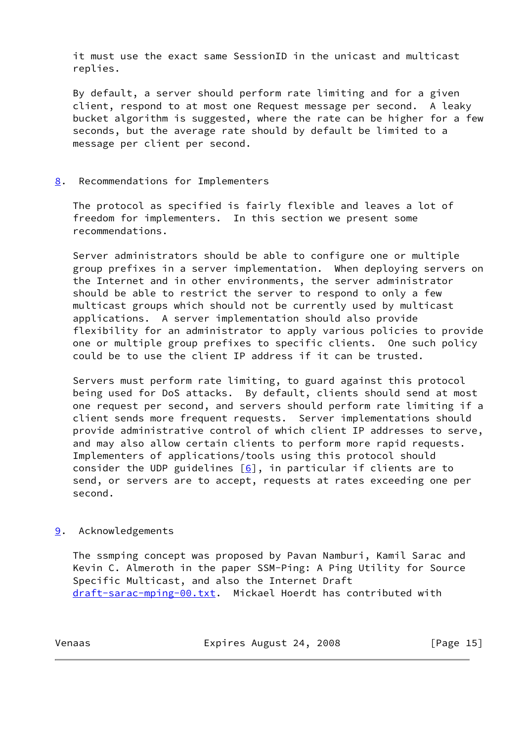it must use the exact same SessionID in the unicast and multicast replies.

 By default, a server should perform rate limiting and for a given client, respond to at most one Request message per second. A leaky bucket algorithm is suggested, where the rate can be higher for a few seconds, but the average rate should by default be limited to a message per client per second.

## <span id="page-16-0"></span>[8](#page-16-0). Recommendations for Implementers

 The protocol as specified is fairly flexible and leaves a lot of freedom for implementers. In this section we present some recommendations.

 Server administrators should be able to configure one or multiple group prefixes in a server implementation. When deploying servers on the Internet and in other environments, the server administrator should be able to restrict the server to respond to only a few multicast groups which should not be currently used by multicast applications. A server implementation should also provide flexibility for an administrator to apply various policies to provide one or multiple group prefixes to specific clients. One such policy could be to use the client IP address if it can be trusted.

 Servers must perform rate limiting, to guard against this protocol being used for DoS attacks. By default, clients should send at most one request per second, and servers should perform rate limiting if a client sends more frequent requests. Server implementations should provide administrative control of which client IP addresses to serve, and may also allow certain clients to perform more rapid requests. Implementers of applications/tools using this protocol should consider the UDP guidelines  $[6]$  $[6]$ , in particular if clients are to send, or servers are to accept, requests at rates exceeding one per second.

## <span id="page-16-1"></span>[9](#page-16-1). Acknowledgements

 The ssmping concept was proposed by Pavan Namburi, Kamil Sarac and Kevin C. Almeroth in the paper SSM-Ping: A Ping Utility for Source Specific Multicast, and also the Internet Draft [draft-sarac-mping-00.txt](https://datatracker.ietf.org/doc/pdf/draft-sarac-mping-00.txt). Mickael Hoerdt has contributed with

Venaas Expires August 24, 2008 [Page 15]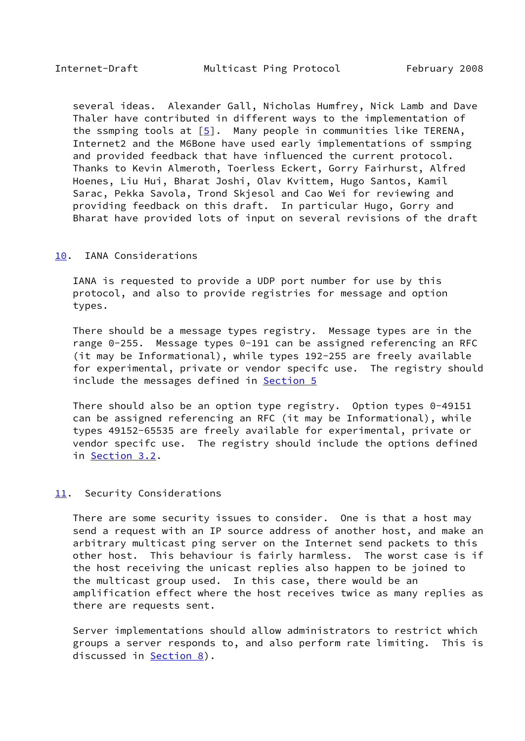<span id="page-17-1"></span> several ideas. Alexander Gall, Nicholas Humfrey, Nick Lamb and Dave Thaler have contributed in different ways to the implementation of the ssmping tools at  $[5]$ . Many people in communities like TERENA, Internet2 and the M6Bone have used early implementations of ssmping and provided feedback that have influenced the current protocol. Thanks to Kevin Almeroth, Toerless Eckert, Gorry Fairhurst, Alfred Hoenes, Liu Hui, Bharat Joshi, Olav Kvittem, Hugo Santos, Kamil Sarac, Pekka Savola, Trond Skjesol and Cao Wei for reviewing and providing feedback on this draft. In particular Hugo, Gorry and Bharat have provided lots of input on several revisions of the draft

#### <span id="page-17-0"></span>[10.](#page-17-0) IANA Considerations

 IANA is requested to provide a UDP port number for use by this protocol, and also to provide registries for message and option types.

 There should be a message types registry. Message types are in the range 0-255. Message types 0-191 can be assigned referencing an RFC (it may be Informational), while types 192-255 are freely available for experimental, private or vendor specifc use. The registry should include the messages defined in **Section 5** 

 There should also be an option type registry. Option types 0-49151 can be assigned referencing an RFC (it may be Informational), while types 49152-65535 are freely available for experimental, private or vendor specifc use. The registry should include the options defined in [Section 3.2](#page-5-1).

#### <span id="page-17-2"></span>[11.](#page-17-2) Security Considerations

 There are some security issues to consider. One is that a host may send a request with an IP source address of another host, and make an arbitrary multicast ping server on the Internet send packets to this other host. This behaviour is fairly harmless. The worst case is if the host receiving the unicast replies also happen to be joined to the multicast group used. In this case, there would be an amplification effect where the host receives twice as many replies as there are requests sent.

 Server implementations should allow administrators to restrict which groups a server responds to, and also perform rate limiting. This is discussed in **Section 8**).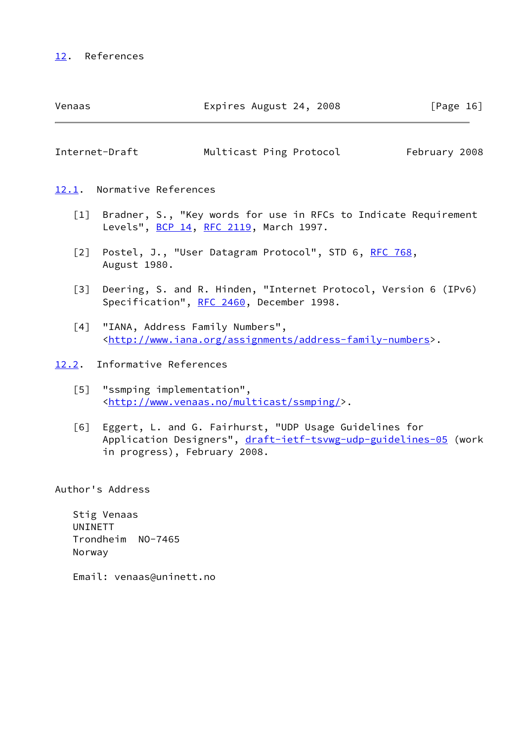# <span id="page-18-1"></span>[12.](#page-18-1) References

<span id="page-18-2"></span>

| Venaas                        | Expires August 24, 2008 | [Page 16]     |
|-------------------------------|-------------------------|---------------|
| Internet-Draft                | Multicast Ping Protocol | February 2008 |
| Normative References<br>12.1. |                         |               |

- <span id="page-18-3"></span><span id="page-18-0"></span> [1] Bradner, S., "Key words for use in RFCs to Indicate Requirement Levels", [BCP 14](https://datatracker.ietf.org/doc/pdf/bcp14), [RFC 2119](https://datatracker.ietf.org/doc/pdf/rfc2119), March 1997.
- <span id="page-18-5"></span>[2] Postel, J., "User Datagram Protocol", STD 6, [RFC 768](https://datatracker.ietf.org/doc/pdf/rfc768), August 1980.
- <span id="page-18-6"></span> [3] Deering, S. and R. Hinden, "Internet Protocol, Version 6 (IPv6) Specification", [RFC 2460](https://datatracker.ietf.org/doc/pdf/rfc2460), December 1998.
- <span id="page-18-8"></span> [4] "IANA, Address Family Numbers", [<http://www.iana.org/assignments/address-family-numbers](http://www.iana.org/assignments/address-family-numbers)>.
- <span id="page-18-9"></span><span id="page-18-7"></span><span id="page-18-4"></span>[12.2](#page-18-4). Informative References
	- [5] "ssmping implementation", [<http://www.venaas.no/multicast/ssmping/](http://www.venaas.no/multicast/ssmping/)>.
	- [6] Eggert, L. and G. Fairhurst, "UDP Usage Guidelines for Application Designers", [draft-ietf-tsvwg-udp-guidelines-05](https://datatracker.ietf.org/doc/pdf/draft-ietf-tsvwg-udp-guidelines-05) (work in progress), February 2008.

Author's Address

 Stig Venaas UNINETT Trondheim NO-7465 Norway

Email: venaas@uninett.no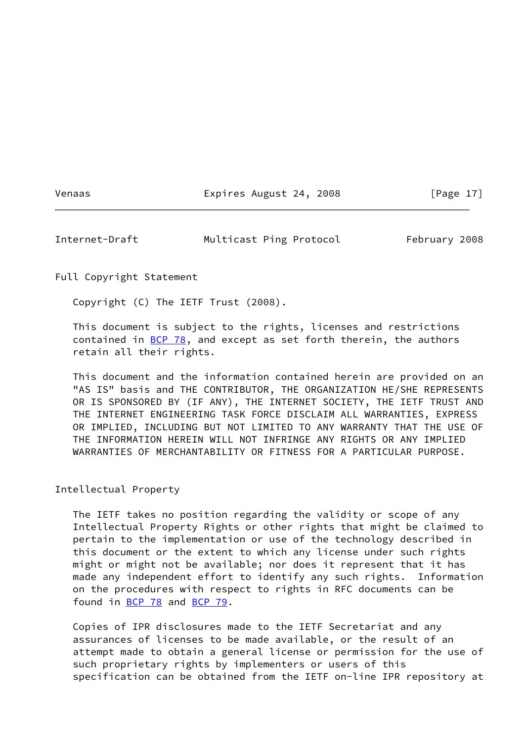Venaas Expires August 24, 2008 [Page 17]

<span id="page-19-0"></span>Internet-Draft Multicast Ping Protocol February 2008

Full Copyright Statement

Copyright (C) The IETF Trust (2008).

 This document is subject to the rights, licenses and restrictions contained in  $BCP$  78, and except as set forth therein, the authors retain all their rights.

 This document and the information contained herein are provided on an "AS IS" basis and THE CONTRIBUTOR, THE ORGANIZATION HE/SHE REPRESENTS OR IS SPONSORED BY (IF ANY), THE INTERNET SOCIETY, THE IETF TRUST AND THE INTERNET ENGINEERING TASK FORCE DISCLAIM ALL WARRANTIES, EXPRESS OR IMPLIED, INCLUDING BUT NOT LIMITED TO ANY WARRANTY THAT THE USE OF THE INFORMATION HEREIN WILL NOT INFRINGE ANY RIGHTS OR ANY IMPLIED WARRANTIES OF MERCHANTABILITY OR FITNESS FOR A PARTICULAR PURPOSE.

Intellectual Property

 The IETF takes no position regarding the validity or scope of any Intellectual Property Rights or other rights that might be claimed to pertain to the implementation or use of the technology described in this document or the extent to which any license under such rights might or might not be available; nor does it represent that it has made any independent effort to identify any such rights. Information on the procedures with respect to rights in RFC documents can be found in [BCP 78](https://datatracker.ietf.org/doc/pdf/bcp78) and [BCP 79](https://datatracker.ietf.org/doc/pdf/bcp79).

 Copies of IPR disclosures made to the IETF Secretariat and any assurances of licenses to be made available, or the result of an attempt made to obtain a general license or permission for the use of such proprietary rights by implementers or users of this specification can be obtained from the IETF on-line IPR repository at